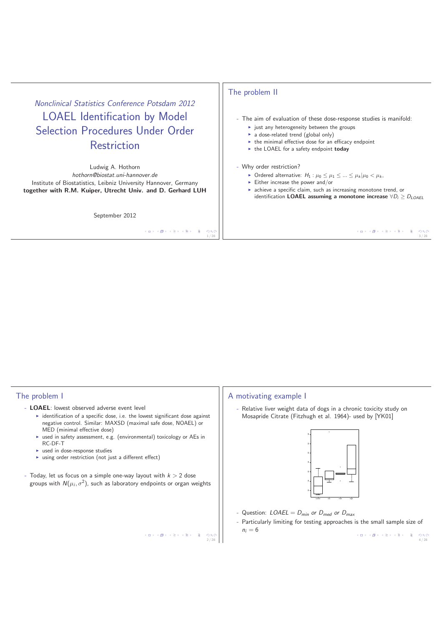# Nonclinical Statistics Conference Potsdam 2012 LOAEL Identification by Model Selection Procedures Under Order Restriction

Ludwig A. Hothorn hothorn@biostat.uni-hannover.de Institute of Biostatistics, Leibniz University Hannover, Germany **together with R.M. Kuiper, Utrecht Univ. and D. Gerhard LUH**

September 2012

 $( \Box ) \ ( \overline{\partial} ) \ ( \overline{z} ) \ ( \overline{z} ) \ ( \overline{z} ) \ ( \overline{z} ) \ ( \overline{z} ) \ ( \overline{z} )$ 

2 / 28

## The problem II

- The aim of evaluation of these dose-response studies is manifold:

- just any heterogeneity between the groups
- a dose-related trend (global only)
- the minimal effective dose for an efficacy endpoint
- the LOAEL for a safety endpoint **today**

#### - Why order restriction?

- ► Ordered alternative:  $H_1: \mu_0 \leq \mu_1 \leq ... \leq \mu_k |\mu_0| < \mu_k$ ,
- $\blacktriangleright$  Either increase the power and/or
- **achieve a specific claim, such as increasing monotone trend, or** identification **LOAEL** assuming a monotone increase  $\forall D_i \geq D_{LOAEL}$

# $(1 - 3/2)$   $(2 + 3/2)$   $(3/2)$

#### The problem I

- **LOAEL**: lowest observed adverse event level
	- identification of a specific dose, i.e. the lowest significant dose against negative control. Similar: MAXSD (maximal safe dose, NOAEL) or MED (minimal effective dose)
	- used in safety assessment, e.g. (environmental) toxicology or AEs in RC-DF-T
	- **Exercise 1 in dose-response studies**
	- using order restriction (not just a different effect)
- Today, let us focus on a simple one-way layout with  $k > 2$  dose groups with  $N(\mu_i, \sigma^2)$ , such as laboratory endpoints or organ weights

## A motivating example I

Relative liver weight data of dogs in a chronic toxicity study on Mosapride Citrate (Fitzhugh et al. 1964)- used by [YK01]



- Question:  $LOAEL = D_{min}$  or  $D_{med}$  or  $D_{max}$
- Particularly limiting for testing approaches is the small sample size of  $n_i = 6$

 $\begin{array}{ccccccc}\n4 & \Box & \rightarrow & 4 & \overline{\mathcal{D}} & \rightarrow & 4 & \overline{\mathcal{D}} & \rightarrow & 4 & \overline{\mathcal{D}} & \rightarrow & 2 & 4 & 28\n\end{array}$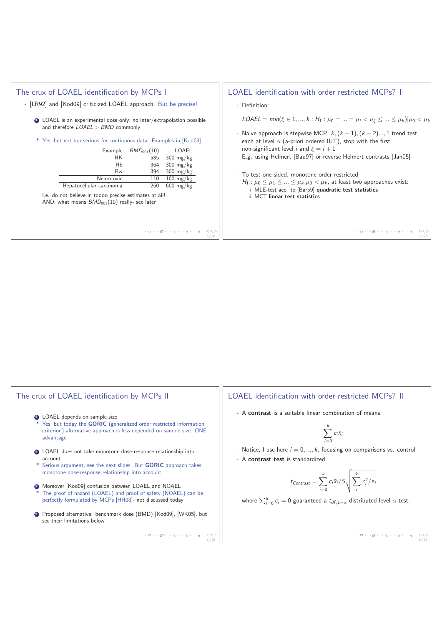| The crux of LOAEL identification by MCPs I                                                                                                                                                                                                                                                                                                                                                                                                                                                                                                        | LOAEL identification with order restricted MCPs? 1                                                                                                                                                                                                                                                                                                                                                                                                                                                                                                                                                                    |
|---------------------------------------------------------------------------------------------------------------------------------------------------------------------------------------------------------------------------------------------------------------------------------------------------------------------------------------------------------------------------------------------------------------------------------------------------------------------------------------------------------------------------------------------------|-----------------------------------------------------------------------------------------------------------------------------------------------------------------------------------------------------------------------------------------------------------------------------------------------------------------------------------------------------------------------------------------------------------------------------------------------------------------------------------------------------------------------------------------------------------------------------------------------------------------------|
| - [LR92] and [Kod09] criticized LOAEL approach. But be precise!                                                                                                                                                                                                                                                                                                                                                                                                                                                                                   | - Definition:                                                                                                                                                                                                                                                                                                                                                                                                                                                                                                                                                                                                         |
| • LOAEL is an experimental dose only; no inter/extrapolation possible<br>and therefore $LOAEL > BMD$ commonly<br>* Yes, but not too serious for continuous data. Examples in [Kod09]:<br>LOAEL<br>$BMD_{001}(10)$<br>Example<br>585<br>$300 \text{ mg/kg}$<br>HK.<br>Hb<br>364<br>$300 \text{ mg/kg}$<br>394<br>$300 \text{ mg/kg}$<br>Bw<br>Neurotoxic<br>110<br>$100 \text{ mg/kg}$<br>Hepatocellular carcinoma<br>260 600 mg/kg<br>I.e. do not believe in toooo precise estimates at all!<br>AND: what means $BMD_{001}(10)$ really- see later | $\mathsf{LOAEL} = \min(\xi \in 1, , k : H_1 : \mu_0 =  = \mu_i < \mu_{\xi} \le  \le \mu_k) \mu_0 < \mu_k$<br>- Naive approach is stepwise MCP: $k, (k-1), (k-2),, 1$ trend test,<br>each at level $\alpha$ (a-priori ordered IUT), stop with the first<br>non-significant level <i>i</i> and $\xi = i + 1$<br>E.g. using Helmert [Bau97] or reverse Helmert contrasts [Jan05]<br>- To test one-sided, monotone order restricted<br>$H_1: \mu_0 \leq \mu_1 \leq  \leq \mu_k   \mu_0 < \mu_k$ , at least two approaches exist:<br>i MLE-test acc. to [Bar59] quadratic test statistics<br>ii MCT linear test statistics |
| メロトメ 伊 メキ メキメ (を) つくび                                                                                                                                                                                                                                                                                                                                                                                                                                                                                                                             | メロメメ 御メメ きょくきょうきょうぐく                                                                                                                                                                                                                                                                                                                                                                                                                                                                                                                                                                                                  |
| 5/28                                                                                                                                                                                                                                                                                                                                                                                                                                                                                                                                              | 7/28                                                                                                                                                                                                                                                                                                                                                                                                                                                                                                                                                                                                                  |

# The crux of LOAEL identification by MCPs II

- <sup>2</sup> LOAEL depends on sample size \* Yes, but today the **GORIC** (generalized order restricted information criterion) alternative approach is less depended on sample size. ONE advantage
- <sup>3</sup> LOAEL does not take monotone dose-response relationship into account
- \* Serious argument, see the next slides. But **GORIC** approach takes monotone dose-response relationship into account
- $\bullet$  Moreover [Kod09] confusion between LOAEL and NOAEL The proof of hazard (LOAEL) and proof of safety (NOAEL) can be perfectly formulated by MCPs [HH08]- not discussed today
- <sup>5</sup> Proposed alternative: benchmark dose (BMD) [Kod09], [WK05], but see their limitations below

 $\begin{array}{ccccccccc} \left\langle \left. \begin{array}{c} 1 & 0 & 0 & 0 \\ 0 & 0 & 0 & 0 \\ 0 & 0 & 0 & 0 \\ 0 & 0 & 0 & 0 \\ 0 & 0 & 0 & 0 \\ 0 & 0 & 0 & 0 \\ 0 & 0 & 0 & 0 \\ 0 & 0 & 0 & 0 \\ 0 & 0 & 0 & 0 \\ 0 & 0 & 0 & 0 \\ 0 & 0 & 0 & 0 \\ 0 & 0 & 0 & 0 \\ 0 & 0 & 0 & 0 \\ 0 & 0 & 0 & 0 \\ 0 & 0 & 0 & 0 \\ 0 & 0 & 0 & 0 \\ 0 & 0$ 

## LOAEL identification with order restricted MCPs? II

- A **contrast** is a suitable linear combination of means:

$$
\sum_{i=0}^k c_i \bar{x}_i
$$

- Notice, I use here  $i = 0, ..., k$ , focusing on comparisons vs. control
- A **contrast test** is standardized

$$
t_{Contrast} = \sum_{i=0}^{k} c_i \bar{x}_i / S \sqrt{\sum_{i}^{k} c_i^2 / n_i}
$$

where  $\sum_{i=0}^k c_i = 0$  guaranteed a  $t_{df,1-\alpha}$  distributed level- $\alpha$ -test.

8 / 28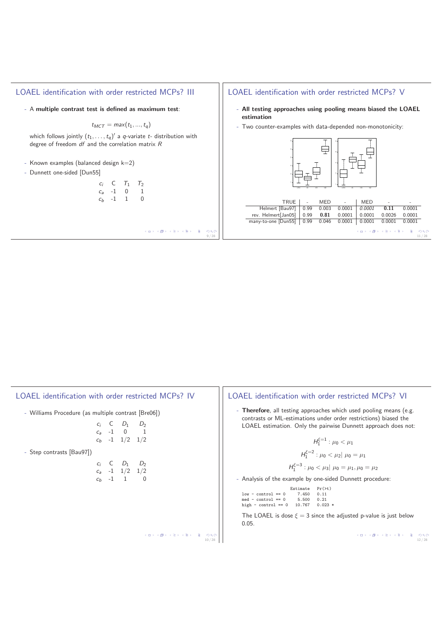## LOAEL identification with order restricted MCPs? III

- A **multiple contrast test is defined as maximum test**:

$$
t_{MCT} = max(t_1, ..., t_q)
$$

which follows jointly  $(t_1,\ldots,t_q)'$  a q-variate  $t$ - distribution with degree of freedom df and the correlation matrix R

- Known examples (balanced design  $k=2$ )
- Dunnett one-sided [Dun55]

| $C_i$          | C    | $\mathcal{T}_1$ | $T_2$ |
|----------------|------|-----------------|-------|
| $C_{a}$        | $-1$ | 0               | 1     |
| c <sub>b</sub> | -1   | 1               | 0     |

 $\left\langle \left( \begin{array}{ccc} \square & \times & \times & \bigoplus \rightarrow & \times & \mathbb{R} \rightarrow \\ \end{array} \right. \right. \times \left\langle \begin{array}{ccc} \square & \times & \times & \times \\ \square & \times & \times & \mathbb{R} \rightarrow \\ \end{array} \right.$  $\frac{1}{2}$  9/28

## LOAEL identification with order restricted MCPs? V

- **All testing approaches using pooling means biased the LOAEL estimation**
- Two counter-examples with data-depended non-monotonicity:



|                                                                |  | TRUE   - MED -   MED |                         | <b>Contract Contract</b> | $\sim$ |       |
|----------------------------------------------------------------|--|----------------------|-------------------------|--------------------------|--------|-------|
| Helmert [Bau97]   0.99 0.003 0.0001   0.0001                   |  |                      |                         | 0.11                     | 0.0001 |       |
| rev. Helmert[Jan05]   0.99 0.81 0.0001   0.0001                |  |                      |                         | 0.0026                   | 0.0001 |       |
| many-to-one [Dun55]   0.99 0.046 0.0001   0.0001 0.0001 0.0001 |  |                      |                         |                          |        |       |
|                                                                |  |                      | イロン イタン イミン イミン ニヨー りなひ |                          |        | 11/28 |

| LOAEL identification with order restricted MCPs? IV | LOAEL identification with order restricted MCPs? VI                                                                                                 |
|-----------------------------------------------------|-----------------------------------------------------------------------------------------------------------------------------------------------------|
| - Williams Procedure (as multiple contrast [Bre06]) | - Therefore, all testing approaches which used pooling means (e.g.<br>contrasts or ML-estimations under order restrictions) biased the              |
| $D_1$<br>$c_a$ -1 0 1                               | LOAEL estimation. Only the pairwise Dunnett approach does not:                                                                                      |
| $c_h$ -1 1/2 1/2                                    | $H_1^{\xi=1}$ : $\mu_0 < \mu_1$                                                                                                                     |
| - Step contrasts [Bau97])                           | $H_1^{\xi=2}$ : $\mu_0 < \mu_2$ $\mu_0 = \mu_1$                                                                                                     |
| $D_1$<br>D <sub>2</sub><br>$c_a$ -1 $1/2$ $1/2$     | $H_1^{\xi=3}$ : $\mu_0 < \mu_3  \mu_0 = \mu_1, \mu_0 = \mu_2$                                                                                       |
| $c_h$ -1 1 0                                        | - Analysis of the example by one-sided Dunnett procedure:                                                                                           |
|                                                     | Pr(>t)<br>Estimate<br>7.450<br>$low - control == 0$<br>0.11<br>5.500<br>0.21<br>$med - control == 0$<br>10.767<br>high - $control == 0$<br>$0.023*$ |
|                                                     | The LOAEL is dose $\xi = 3$ since the adjusted p-value is just below<br>0.05.                                                                       |
| つくい<br>10/28                                        | 12/28                                                                                                                                               |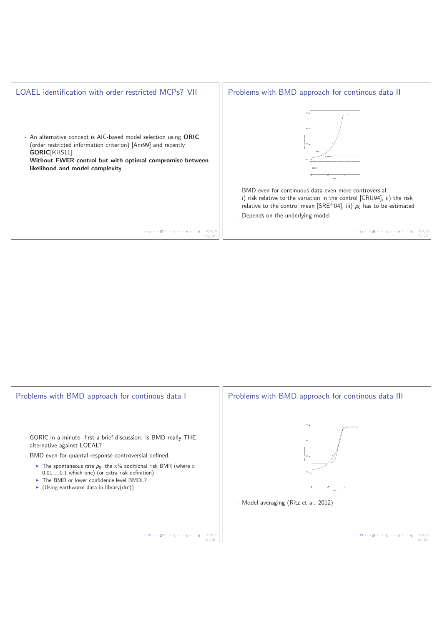

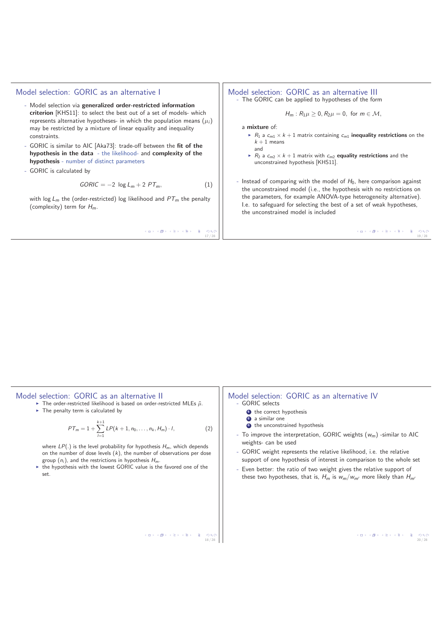## Model selection: GORIC as an alternative I

- Model selection via **generalized order-restricted information criterion** [KHS11]: to select the best out of a set of models- which represents alternative hypotheses- in which the population means  $(\mu_i)$ may be restricted by a mixture of linear equality and inequality constraints.
- GORIC is similar to AIC [Aka73]: trade-off between the **fit of the hypothesis in the data** - the likelihood- and **complexity of the hypothesis** - number of distinct parameters
- GORIC is calculated by

$$
GORIC = -2 \log L_m + 2 PT_m, \qquad (1)
$$

with log  $L_m$  the (order-restricted) log likelihood and  $PT_m$  the penalty (complexity) term for  $H_m$ .

 $\begin{array}{ccccccc} 4 & \Box\rightarrow & 4 & \overline{\mathcal{O}}\rightarrow & 4 & \overline{\mathcal{O}}\rightarrow & 4 & \overline{\mathcal{O}}\rightarrow & 4 & \overline{\mathcal{O}}\rightarrow & 28 \\ & & & & & & & 17/28 \end{array}$ 

#### Model selection: GORIC as an alternative III - The GORIC can be applied to hypotheses of the form

$$
H_m: R_1\mu \geq 0, R_2\mu = 0, \text{ for } m \in \mathcal{M},
$$

a **mixture** of:

- $\blacktriangleright$   $R_1$  a  $c_{m1} \times k + 1$  matrix containing  $c_{m1}$  **inequality restrictions** on the  $k + 1$  means and
- $\blacktriangleright$   $R_2$  a  $c_{m2} \times k + 1$  matrix with  $c_{m2}$  **equality restrictions** and the unconstrained hypothesis [KHS11].

- Instead of comparing with the model of  $H_0$ , here comparison against the unconstrained model (i.e., the hypothesis with no restrictions on the parameters, for example ANOVA-type heterogeneity alternative). I.e. to safeguard for selecting the best of a set of weak hypotheses, the unconstrained model is included

 $(10) (10) (10) (10)$ 

| Model selection: GORIC as an alternative II<br>The order-restricted likelihood is based on order-restricted MLEs $\tilde{\mu}$ .<br>$\triangleright$ The penalty term is calculated by<br>$PT_m = 1 + \sum_{l=1}^{k+1} LP(k+1, n_0, \ldots, n_k, H_m) \cdot l,$<br>(2)<br>where $LP(.)$ is the level probability for hypothesis $H_m$ , which depends<br>on the number of dose levels $(k)$ , the number of observations per dose<br>group $(n_i)$ , and the restrictions in hypothesis $H_m$ .<br>• the hypothesis with the lowest GORIC value is the favored one of the<br>set. | Model selection: GORIC as an alternative IV<br>- GORIC selects<br>the correct hypothesis<br>2 a similar one<br>the unconstrained hypothesis<br>- To improve the interpretation, GORIC weights $(w_m)$ -similar to AIC<br>weights- can be used<br>- GORIC weight represents the relative likelihood, i.e. the relative<br>support of one hypothesis of interest in comparison to the whole set<br>- Even better: the ratio of two weight gives the relative support of<br>these two hypotheses, that is, $H_m$ is $w_m/w_{m'}$ more likely than $H_{m'}$ |
|-----------------------------------------------------------------------------------------------------------------------------------------------------------------------------------------------------------------------------------------------------------------------------------------------------------------------------------------------------------------------------------------------------------------------------------------------------------------------------------------------------------------------------------------------------------------------------------|---------------------------------------------------------------------------------------------------------------------------------------------------------------------------------------------------------------------------------------------------------------------------------------------------------------------------------------------------------------------------------------------------------------------------------------------------------------------------------------------------------------------------------------------------------|
| イロト イ部 トイミト イミト 一重<br>200<br>18/28                                                                                                                                                                                                                                                                                                                                                                                                                                                                                                                                                |                                                                                                                                                                                                                                                                                                                                                                                                                                                                                                                                                         |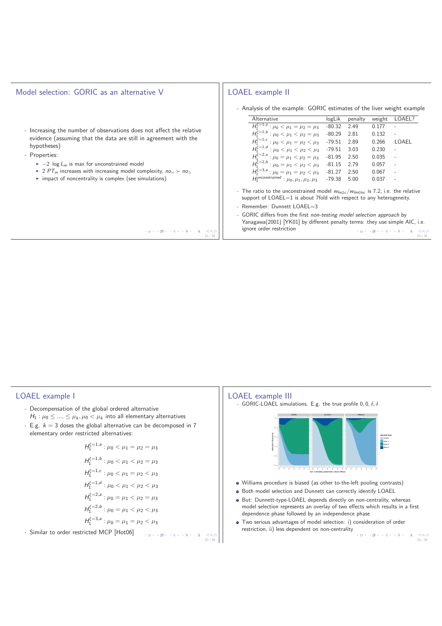| Model selection: GORIC as an alternative V                                                                                                                                                                                                                                                                                                                                                                  | LOAEL example II                                                                                                                                                                                                                                                                                                                                                                                                                                                                                                                                                                                                                                                                                                                                              |
|-------------------------------------------------------------------------------------------------------------------------------------------------------------------------------------------------------------------------------------------------------------------------------------------------------------------------------------------------------------------------------------------------------------|---------------------------------------------------------------------------------------------------------------------------------------------------------------------------------------------------------------------------------------------------------------------------------------------------------------------------------------------------------------------------------------------------------------------------------------------------------------------------------------------------------------------------------------------------------------------------------------------------------------------------------------------------------------------------------------------------------------------------------------------------------------|
| - Increasing the number of observations does not affect the relative<br>evidence (assuming that the data are still in agreement with the<br>hypotheses)<br>- Properties:<br>$\blacktriangleright$ -2 log $L_m$ is max for unconstrained model<br>► 2 PT <sub>m</sub> increases with increasing model complexity, $no = \succ no$ ,<br>$\triangleright$ impact of noncentrality is complex (see simulations) | - Analysis of the example: GORIC estimates of the liver weight example<br>Alternative<br>LOAEL?<br>logLik<br>weight<br>penalty<br>$\overline{H_1^{\xi=1,a}}$ : $\mu_0 < \mu_1 = \mu_2 = \mu_3$ -80.32 2.49<br>0.177<br>$H_1^{\xi=1,b}: \mu_0 < \mu_1 < \mu_2 = \mu_3$ -80.29 2.81<br>$H_1^{\xi=1,c}: \mu_0 < \mu_1 = \mu_2 < \mu_3$ -79.51 2.89<br>$H_1^{\xi=1,d}: \mu_0 < \mu_1 < \mu_2 < \mu_3$ -79.51 3.03<br>0.132<br>0.266<br>LOAEL<br>0.230<br>$H_1^{\xi=2,a}: \mu_0 = \mu_1 < \mu_2 = \mu_3$ -81.95 2.50<br>$H_1^{\xi=2,b}: \mu_0 = \mu_1 < \mu_2 < \mu_3$ -81.15 2.79<br>0.035<br>0.057<br>$H_1^{\xi=3,a}$ : $\mu_0 = \mu_1 = \mu_2 < \mu_3$ -81.27 2.50<br>0.067<br>$H_1^{\text{unconstrained}}$ : $\mu_0, \mu_1, \mu_2, \mu_3$ -79.38 5.00<br>0.037 |
| イロン イ御ン イヨン イヨン 一重<br>200                                                                                                                                                                                                                                                                                                                                                                                   | - The ratio to the unconstrained model $w_{fm1c}/w_{fm1nc}$ is 7.2, i.e. the relative<br>support of $LOAEL=1$ is about 7fold with respect to any heterogeneity.<br>- Remember: Dunnett LOAEL=3<br>- GORIC differs from the first non-testing model selection approach by<br>Yanagawa(2001) [YK01] by different penalty terms: they use simple AIC, i.e.<br>ignore order restriction<br>イロン イタン イミン イミン 一生<br>$-990$                                                                                                                                                                                                                                                                                                                                           |
| 21/28                                                                                                                                                                                                                                                                                                                                                                                                       | 23/28                                                                                                                                                                                                                                                                                                                                                                                                                                                                                                                                                                                                                                                                                                                                                         |



- Decompensation of the global ordered alternative  $H_1$  :  $\mu_0 \leq \ldots \leq \mu_k, \mu_0 < \mu_k$  into all elementary alternatives
- E.g.  $k = 3$  doses the global alternative can be decomposed in 7 elementary order restricted alternatives:

$$
H_1^{\xi=1,a}: \mu_0 < \mu_1 = \mu_2 = \mu_3
$$
  
\n
$$
H_1^{\xi=1,b}: \mu_0 < \mu_1 < \mu_2 = \mu_3
$$
  
\n
$$
H_1^{\xi=1,c}: \mu_0 < \mu_1 = \mu_2 < \mu_3
$$
  
\n
$$
H_1^{\xi=2,a}: \mu_0 < \mu_1 < \mu_2 < \mu_3
$$
  
\n
$$
H_1^{\xi=2,a}: \mu_0 = \mu_1 < \mu_2 = \mu_3
$$
  
\n
$$
H_1^{\xi=2,b}: \mu_0 = \mu_1 < \mu_2 < \mu_3
$$
  
\n
$$
H_1^{\xi=3,a}: \mu_0 = \mu_1 = \mu_2 < \mu_3
$$
  
\n-Similar to order restricted MCP [Hot06]

æ.